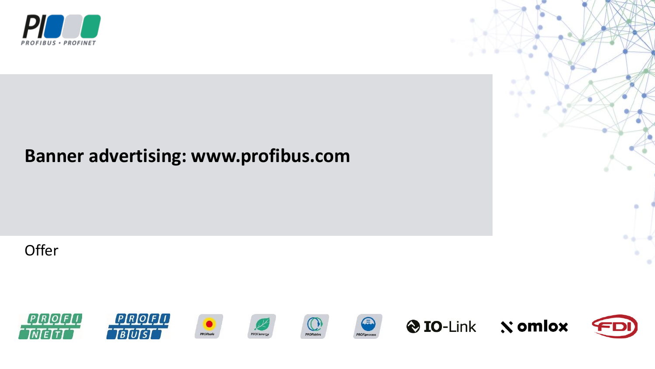

## **Banner advertising: www.profibus.com**

**Offer** 

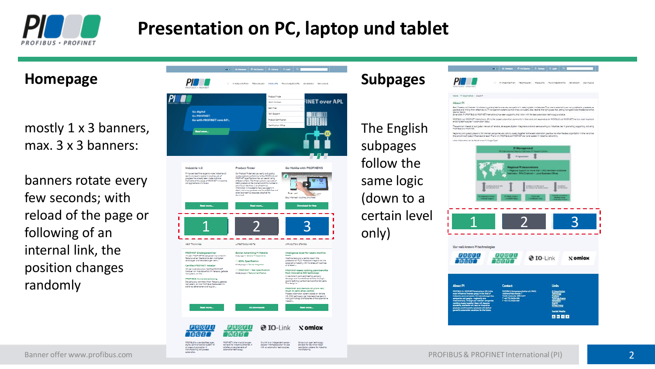

# **Presentation on PC, laptop und tablet**

#### **Homepage**

mostly 1 x 3 banners, max. 3 x 3 banners:

banners rotate every few seconds; with reload of the page or following of an internal link, the position changes randomly



The English subpages follow the same logic (down to a certain level only)

**Subpages**

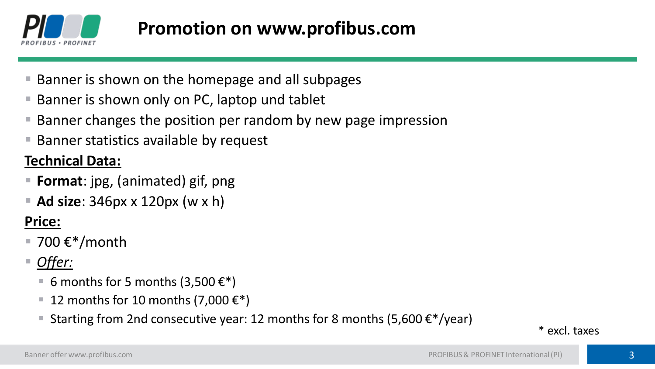

- Banner is shown on the homepage and all subpages
- Banner is shown only on PC, laptop und tablet
- Banner changes the position per random by new page impression
- Banner statistics available by request

## **Technical Data:**

- **Format**: jpg, (animated) gif, png
- **Ad size**: 346px x 120px (w x h)

## **Price:**

- 700  $\epsilon$ \*/month
- *Offer:*
	- 6 months for 5 months (3,500  $\epsilon^*$ )
	- 12 months for 10 months (7,000  $\epsilon^*$ )
	- **E** Starting from 2nd consecutive year: 12 months for 8 months (5,600  $\epsilon$ \*/year)

\* excl. taxes